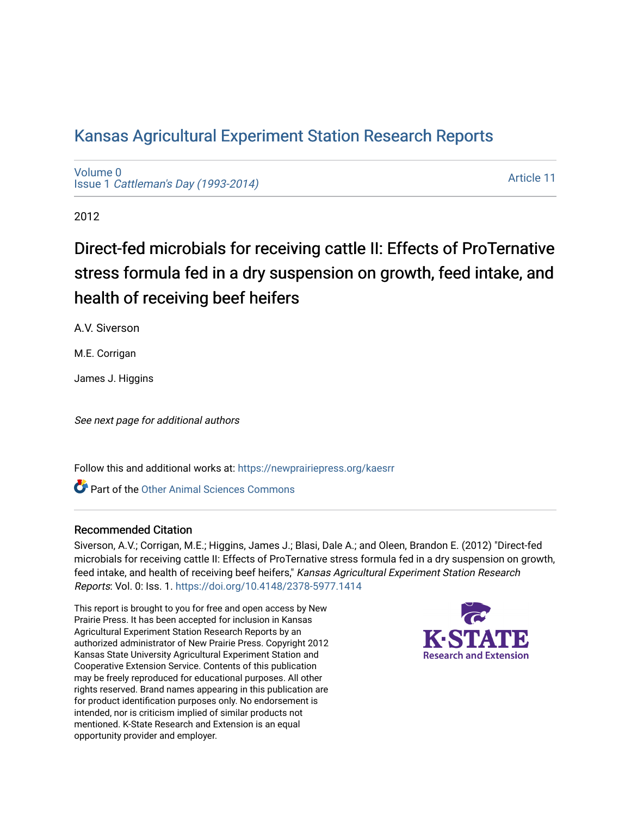## [Kansas Agricultural Experiment Station Research Reports](https://newprairiepress.org/kaesrr)

[Volume 0](https://newprairiepress.org/kaesrr/vol0) Issue 1 [Cattleman's Day \(1993-2014\)](https://newprairiepress.org/kaesrr/vol0/iss1) 

[Article 11](https://newprairiepress.org/kaesrr/vol0/iss1/11) 

2012

## Direct-fed microbials for receiving cattle II: Effects of ProTernative stress formula fed in a dry suspension on growth, feed intake, and health of receiving beef heifers

A.V. Siverson

M.E. Corrigan

James J. Higgins

See next page for additional authors

Follow this and additional works at: [https://newprairiepress.org/kaesrr](https://newprairiepress.org/kaesrr?utm_source=newprairiepress.org%2Fkaesrr%2Fvol0%2Fiss1%2F11&utm_medium=PDF&utm_campaign=PDFCoverPages) 

**C** Part of the [Other Animal Sciences Commons](http://network.bepress.com/hgg/discipline/82?utm_source=newprairiepress.org%2Fkaesrr%2Fvol0%2Fiss1%2F11&utm_medium=PDF&utm_campaign=PDFCoverPages)

## Recommended Citation

Siverson, A.V.; Corrigan, M.E.; Higgins, James J.; Blasi, Dale A.; and Oleen, Brandon E. (2012) "Direct-fed microbials for receiving cattle II: Effects of ProTernative stress formula fed in a dry suspension on growth, feed intake, and health of receiving beef heifers," Kansas Agricultural Experiment Station Research Reports: Vol. 0: Iss. 1.<https://doi.org/10.4148/2378-5977.1414>

This report is brought to you for free and open access by New Prairie Press. It has been accepted for inclusion in Kansas Agricultural Experiment Station Research Reports by an authorized administrator of New Prairie Press. Copyright 2012 Kansas State University Agricultural Experiment Station and Cooperative Extension Service. Contents of this publication may be freely reproduced for educational purposes. All other rights reserved. Brand names appearing in this publication are for product identification purposes only. No endorsement is intended, nor is criticism implied of similar products not mentioned. K-State Research and Extension is an equal opportunity provider and employer.

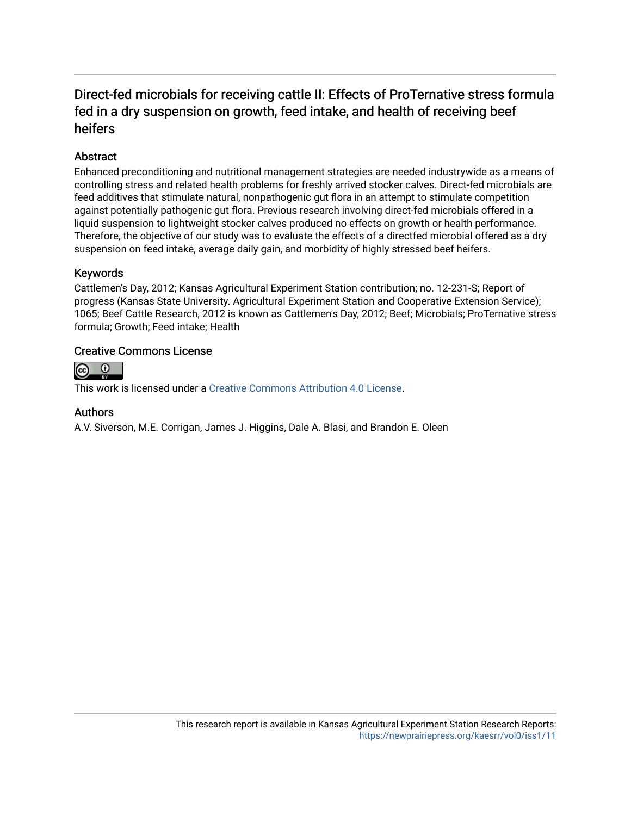## Direct-fed microbials for receiving cattle II: Effects of ProTernative stress formula fed in a dry suspension on growth, feed intake, and health of receiving beef heifers

## Abstract

Enhanced preconditioning and nutritional management strategies are needed industrywide as a means of controlling stress and related health problems for freshly arrived stocker calves. Direct-fed microbials are feed additives that stimulate natural, nonpathogenic gut flora in an attempt to stimulate competition against potentially pathogenic gut flora. Previous research involving direct-fed microbials offered in a liquid suspension to lightweight stocker calves produced no effects on growth or health performance. Therefore, the objective of our study was to evaluate the effects of a directfed microbial offered as a dry suspension on feed intake, average daily gain, and morbidity of highly stressed beef heifers.

## Keywords

Cattlemen's Day, 2012; Kansas Agricultural Experiment Station contribution; no. 12-231-S; Report of progress (Kansas State University. Agricultural Experiment Station and Cooperative Extension Service); 1065; Beef Cattle Research, 2012 is known as Cattlemen's Day, 2012; Beef; Microbials; ProTernative stress formula; Growth; Feed intake; Health

### Creative Commons License



This work is licensed under a [Creative Commons Attribution 4.0 License](https://creativecommons.org/licenses/by/4.0/).

### Authors

A.V. Siverson, M.E. Corrigan, James J. Higgins, Dale A. Blasi, and Brandon E. Oleen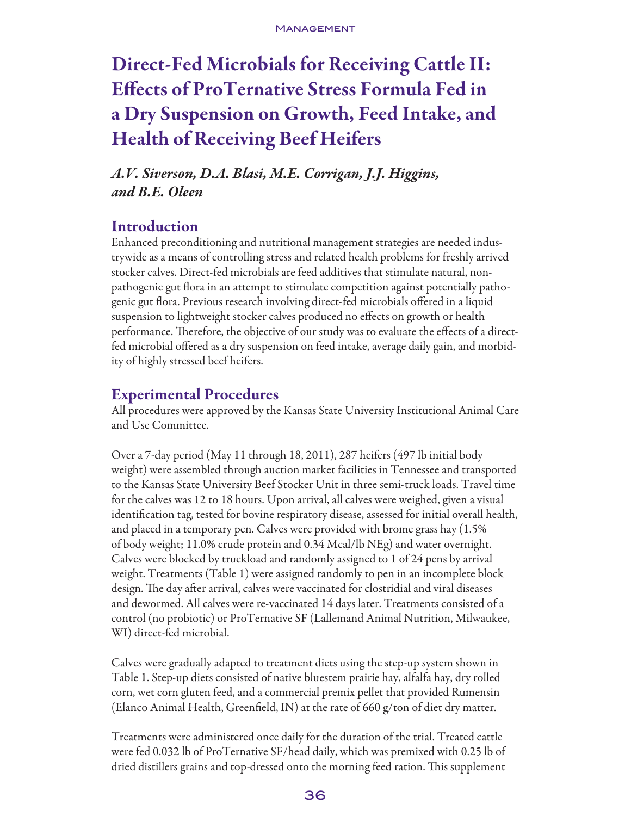# Direct-Fed Microbials for Receiving Cattle II: Effects of ProTernative Stress Formula Fed in a Dry Suspension on Growth, Feed Intake, and Health of Receiving Beef Heifers

*A.V. Siverson, D.A. Blasi, M.E. Corrigan, J.J. Higgins, and B.E. Oleen*

## Introduction

Enhanced preconditioning and nutritional management strategies are needed industrywide as a means of controlling stress and related health problems for freshly arrived stocker calves. Direct-fed microbials are feed additives that stimulate natural, nonpathogenic gut flora in an attempt to stimulate competition against potentially pathogenic gut flora. Previous research involving direct-fed microbials offered in a liquid suspension to lightweight stocker calves produced no effects on growth or health performance. Therefore, the objective of our study was to evaluate the effects of a directfed microbial offered as a dry suspension on feed intake, average daily gain, and morbidity of highly stressed beef heifers.

## Experimental Procedures

All procedures were approved by the Kansas State University Institutional Animal Care and Use Committee.

Over a 7-day period (May 11 through 18, 2011), 287 heifers (497 lb initial body weight) were assembled through auction market facilities in Tennessee and transported to the Kansas State University Beef Stocker Unit in three semi-truck loads. Travel time for the calves was 12 to 18 hours. Upon arrival, all calves were weighed, given a visual identification tag, tested for bovine respiratory disease, assessed for initial overall health, and placed in a temporary pen. Calves were provided with brome grass hay (1.5% of body weight; 11.0% crude protein and 0.34 Mcal/lb NEg) and water overnight. Calves were blocked by truckload and randomly assigned to 1 of 24 pens by arrival weight. Treatments (Table 1) were assigned randomly to pen in an incomplete block design. The day after arrival, calves were vaccinated for clostridial and viral diseases and dewormed. All calves were re-vaccinated 14 days later. Treatments consisted of a control (no probiotic) or ProTernative SF (Lallemand Animal Nutrition, Milwaukee, WI) direct-fed microbial.

Calves were gradually adapted to treatment diets using the step-up system shown in Table 1. Step-up diets consisted of native bluestem prairie hay, alfalfa hay, dry rolled corn, wet corn gluten feed, and a commercial premix pellet that provided Rumensin (Elanco Animal Health, Greenfield, IN) at the rate of 660 g/ton of diet dry matter.

Treatments were administered once daily for the duration of the trial. Treated cattle were fed 0.032 lb of ProTernative SF/head daily, which was premixed with 0.25 lb of dried distillers grains and top-dressed onto the morning feed ration. This supplement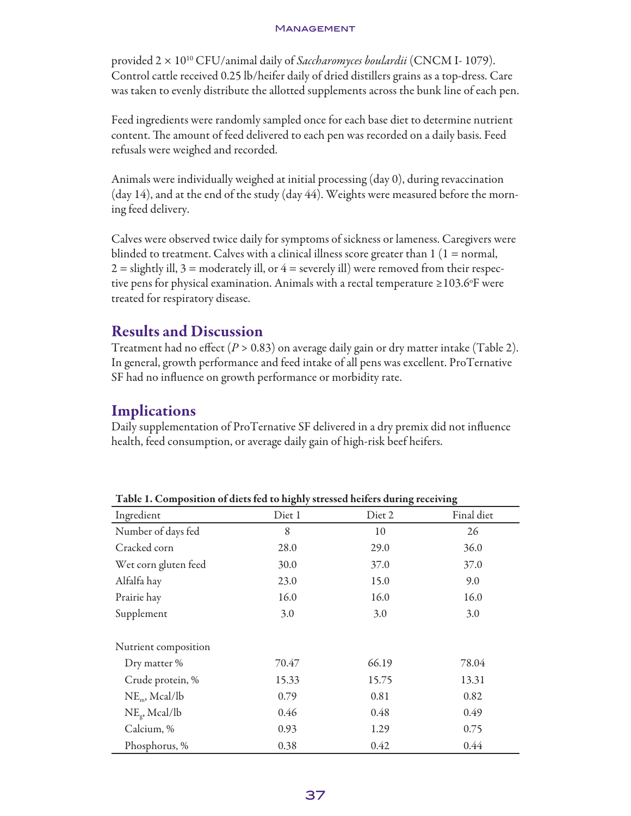#### **MANAGEMENT**

provided 2 × 1010 CFU/animal daily of *Saccharomyces boulardii* (CNCM I- 1079). Control cattle received 0.25 lb/heifer daily of dried distillers grains as a top-dress. Care was taken to evenly distribute the allotted supplements across the bunk line of each pen.

Feed ingredients were randomly sampled once for each base diet to determine nutrient content. The amount of feed delivered to each pen was recorded on a daily basis. Feed refusals were weighed and recorded.

Animals were individually weighed at initial processing (day 0), during revaccination (day 14), and at the end of the study (day 44). Weights were measured before the morning feed delivery.

Calves were observed twice daily for symptoms of sickness or lameness. Caregivers were blinded to treatment. Calves with a clinical illness score greater than  $1(1 = normal,$  $2 =$  slightly ill,  $3 =$  moderately ill, or  $4 =$  severely ill) were removed from their respective pens for physical examination. Animals with a rectal temperature  $\geq$  103.6°F were treated for respiratory disease.

## Results and Discussion

Treatment had no effect  $(P > 0.83)$  on average daily gain or dry matter intake (Table 2). In general, growth performance and feed intake of all pens was excellent. ProTernative SF had no influence on growth performance or morbidity rate.

## Implications

Daily supplementation of ProTernative SF delivered in a dry premix did not influence health, feed consumption, or average daily gain of high-risk beef heifers.

| Table 1. Composition of diets fed to highly stressed neifers during receiving |        |        |            |  |
|-------------------------------------------------------------------------------|--------|--------|------------|--|
| Ingredient                                                                    | Diet 1 | Diet 2 | Final diet |  |
| Number of days fed                                                            | 8      | 10     | 26         |  |
| Cracked corn                                                                  | 28.0   | 29.0   | 36.0       |  |
| Wet corn gluten feed                                                          | 30.0   | 37.0   | 37.0       |  |
| Alfalfa hay                                                                   | 23.0   | 15.0   | 9.0        |  |
| Prairie hay                                                                   | 16.0   | 16.0   | 16.0       |  |
| Supplement                                                                    | 3.0    | 3.0    | 3.0        |  |
| Nutrient composition                                                          |        |        |            |  |
| Dry matter %                                                                  | 70.47  | 66.19  | 78.04      |  |
| Crude protein, %                                                              | 15.33  | 15.75  | 13.31      |  |
| $NEm$ , Mcal/lb                                                               | 0.79   | 0.81   | 0.82       |  |
| $NEg$ , Mcal/lb                                                               | 0.46   | 0.48   | 0.49       |  |
| Calcium, %                                                                    | 0.93   | 1.29   | 0.75       |  |
| Phosphorus, %                                                                 | 0.38   | 0.42   | 0.44       |  |

Table 1. Composition of diets fed to highly stressed heifers during receiving